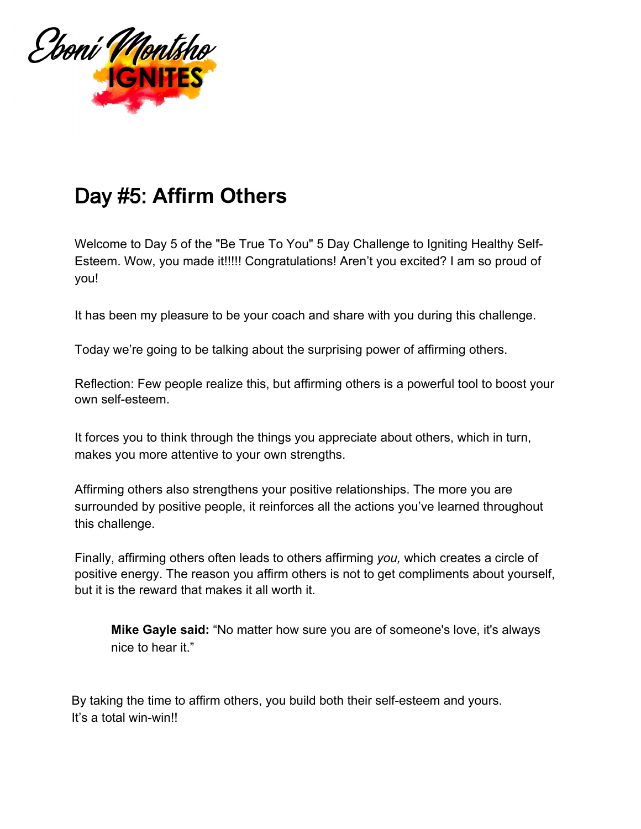

## Day #5: **Affirm Others**

Welcome to Day 5 of the "Be True To You" 5 Day Challenge to Igniting Healthy Self-Esteem. Wow, you made it!!!!! Congratulations! Aren't you excited? I am so proud of you!

It has been my pleasure to be your coach and share with you during this challenge.

Today we're going to be talking about the surprising power of affirming others.

Reflection: Few people realize this, but affirming others is a powerful tool to boost your own self-esteem.

It forces you to think through the things you appreciate about others, which in turn, makes you more attentive to your own strengths.

Affirming others also strengthens your positive relationships. The more you are surrounded by positive people, it reinforces all the actions you've learned throughout this challenge.

Finally, affirming others often leads to others affirming *you,* which creates a circle of positive energy. The reason you affirm others is not to get compliments about yourself, but it is the reward that makes it all worth it.

**Mike Gayle said:** "No matter how sure you are of someone's love, it's always nice to hear it."

By taking the time to affirm others, you build both their self-esteem and yours. It's a total win-win!!